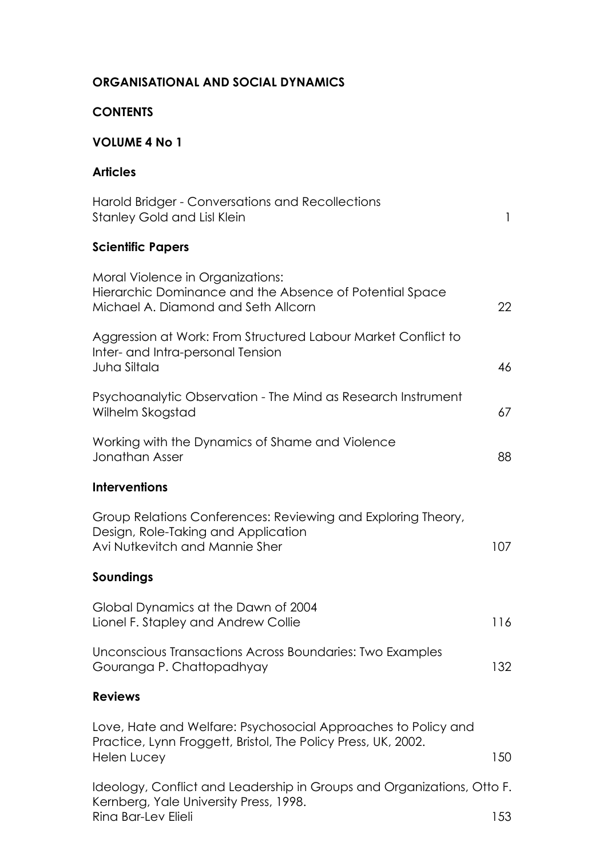### **ORGANISATIONAL AND SOCIAL DYNAMICS**

### **CONTENTS**

## **VOLUME 4 No 1**

### **Articles**

| Harold Bridger - Conversations and Recollections<br><b>Stanley Gold and Lisl Klein</b>                                                        | 1   |
|-----------------------------------------------------------------------------------------------------------------------------------------------|-----|
| <b>Scientific Papers</b>                                                                                                                      |     |
| Moral Violence in Organizations:<br>Hierarchic Dominance and the Absence of Potential Space<br>Michael A. Diamond and Seth Allcorn            | 22  |
| Aggression at Work: From Structured Labour Market Conflict to<br>Inter- and Intra-personal Tension<br>Juha Siltala                            | 46  |
| Psychoanalytic Observation - The Mind as Research Instrument<br>Wilhelm Skogstad                                                              | 67  |
| Working with the Dynamics of Shame and Violence<br><b>Jonathan Asser</b>                                                                      | 88  |
| <b>Interventions</b>                                                                                                                          |     |
| Group Relations Conferences: Reviewing and Exploring Theory,<br>Design, Role-Taking and Application<br>Avi Nutkevitch and Mannie Sher         | 107 |
| Soundings                                                                                                                                     |     |
| Global Dynamics at the Dawn of 2004<br>Lionel F. Stapley and Andrew Collie                                                                    | 116 |
| Unconscious Transactions Across Boundaries: Two Examples<br>Gouranga P. Chattopadhyay                                                         | 132 |
| <b>Reviews</b>                                                                                                                                |     |
| Love, Hate and Welfare: Psychosocial Approaches to Policy and<br>Practice, Lynn Froggett, Bristol, The Policy Press, UK, 2002.<br>Helen Lucey | 150 |
| Ideology, Conflict and Leadership in Groups and Organizations, Otto F.<br>Kernberg, Yale University Press, 1998.                              |     |

Rina Bar-Lev Elieli 153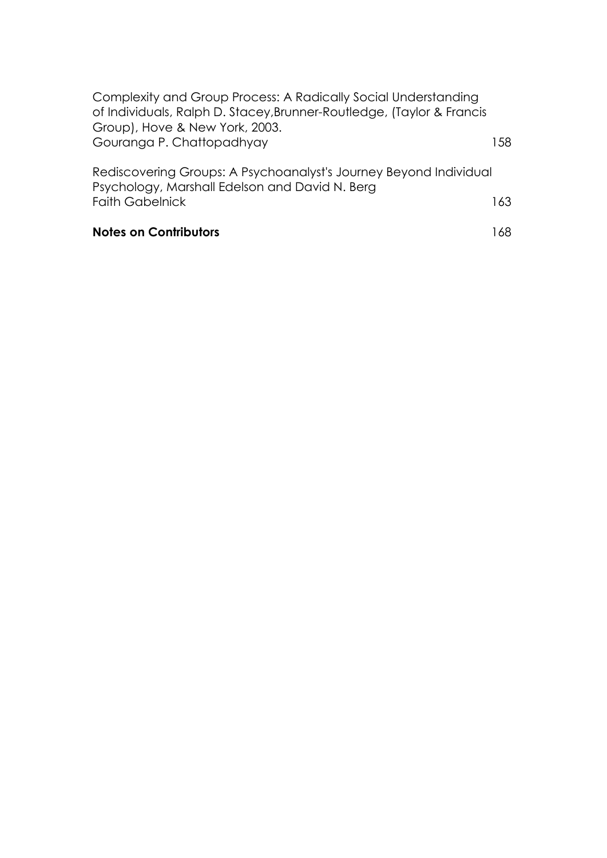| <b>Notes on Contributors</b>                                                                                        | 168. |
|---------------------------------------------------------------------------------------------------------------------|------|
| <b>Faith Gabelnick</b>                                                                                              | 163  |
| Rediscovering Groups: A Psychoanalyst's Journey Beyond Individual<br>Psychology, Marshall Edelson and David N. Berg |      |
| Gouranga P. Chattopadhyay                                                                                           | 158. |
| of Individuals, Ralph D. Stacey, Brunner-Routledge, (Taylor & Francis<br>Group), Hove & New York, 2003.             |      |
| Complexity and Group Process: A Radically Social Understanding                                                      |      |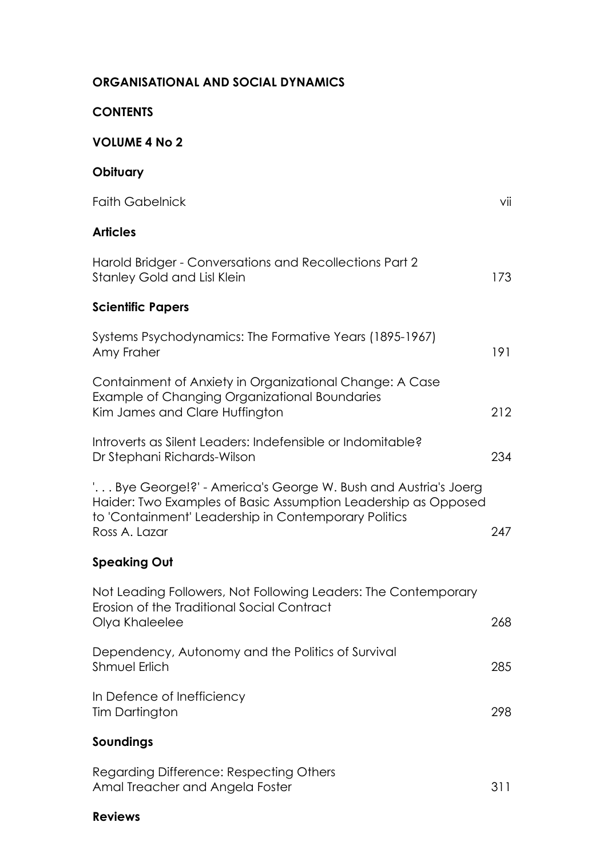### **ORGANISATIONAL AND SOCIAL DYNAMICS**

#### **CONTENTS**

## **VOLUME 4 No 2**

## **Obituary**

| <b>Faith Gabelnick</b>                                                                                                                                                                                    | vii |
|-----------------------------------------------------------------------------------------------------------------------------------------------------------------------------------------------------------|-----|
| <b>Articles</b>                                                                                                                                                                                           |     |
| Harold Bridger - Conversations and Recollections Part 2<br><b>Stanley Gold and Lisl Klein</b>                                                                                                             | 173 |
| <b>Scientific Papers</b>                                                                                                                                                                                  |     |
| Systems Psychodynamics: The Formative Years (1895-1967)<br>Amy Fraher                                                                                                                                     | 191 |
| Containment of Anxiety in Organizational Change: A Case<br>Example of Changing Organizational Boundaries<br>Kim James and Clare Huffington                                                                | 212 |
| Introverts as Silent Leaders: Indefensible or Indomitable?<br>Dr Stephani Richards-Wilson                                                                                                                 | 234 |
| ' Bye George!?' - America's George W. Bush and Austria's Joerg<br>Haider: Two Examples of Basic Assumption Leadership as Opposed<br>to 'Containment' Leadership in Contemporary Politics<br>Ross A. Lazar | 247 |
| <b>Speaking Out</b>                                                                                                                                                                                       |     |
| Not Leading Followers, Not Following Leaders: The Contemporary<br>Erosion of the Traditional Social Contract<br>Olya Khaleelee                                                                            | 268 |
| Dependency, Autonomy and the Politics of Survival<br><b>Shmuel Erlich</b>                                                                                                                                 | 285 |
| In Defence of Inefficiency<br>Tim Dartington                                                                                                                                                              | 298 |
| Soundings                                                                                                                                                                                                 |     |
| Regarding Difference: Respecting Others<br>Amal Treacher and Angela Foster                                                                                                                                | 311 |

# **Reviews**